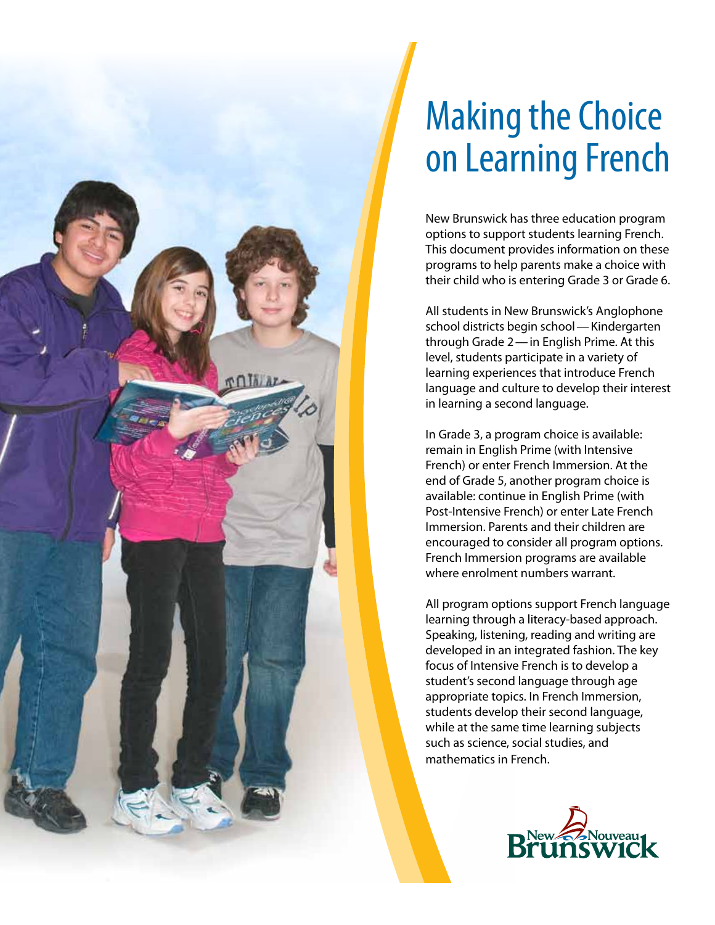

# Making the Choice on Learning French

New Brunswick has three education program options to support students learning French. This document provides information on these programs to help parents make a choice with their child who is entering Grade 3 or Grade 6.

All students in New Brunswick's Anglophone school districts begin school—Kindergarten through Grade 2—in English Prime. At this level, students participate in a variety of learning experiences that introduce French language and culture to develop their interest in learning a second language.

In Grade 3, a program choice is available: remain in English Prime (with Intensive French) or enter French Immersion. At the end of Grade 5, another program choice is available: continue in English Prime (with Post-Intensive French) or enter Late French Immersion. Parents and their children are encouraged to consider all program options. French Immersion programs are available where enrolment numbers warrant.

All program options support French language learning through a literacy-based approach. Speaking, listening, reading and writing are developed in an integrated fashion. The key focus of Intensive French is to develop a student's second language through age appropriate topics. In French Immersion, students develop their second language, while at the same time learning subjects such as science, social studies, and mathematics in French.

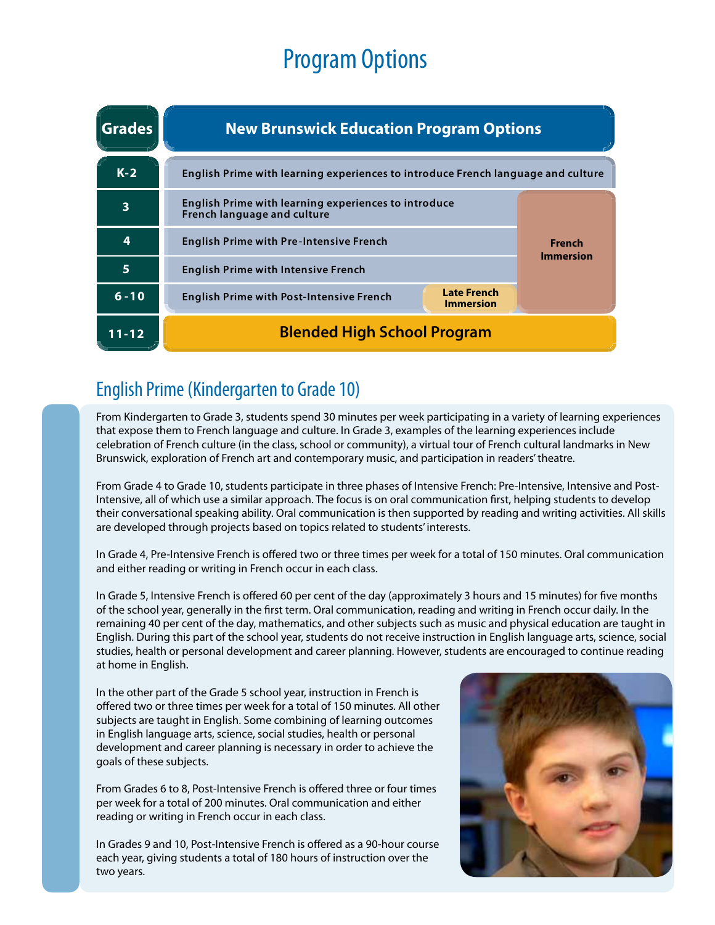## Program Options

| <b>Grades</b> | <b>New Brunswick Education Program Options</b>                                             |                                        |                            |
|---------------|--------------------------------------------------------------------------------------------|----------------------------------------|----------------------------|
| $K-2$         | English Prime with learning experiences to introduce French language and culture           |                                        |                            |
| 3             | English Prime with learning experiences to introduce<br><b>French language and culture</b> |                                        | French<br><b>Immersion</b> |
| 4             | <b>English Prime with Pre-Intensive French</b>                                             |                                        |                            |
| 5             | <b>English Prime with Intensive French</b>                                                 |                                        |                            |
| $6 - 10$      | <b>English Prime with Post-Intensive French</b>                                            | <b>Late French</b><br><b>Immersion</b> |                            |
| $11 - 12$     | <b>Blended High School Program</b>                                                         |                                        |                            |

## English Prime (Kindergarten to Grade 10)

From Kindergarten to Grade 3, students spend 30 minutes per week participating in a variety of learning experiences that expose them to French language and culture. In Grade 3, examples of the learning experiences include celebration of French culture (in the class, school or community), a virtual tour of French cultural landmarks in New Brunswick, exploration of French art and contemporary music, and participation in readers' theatre.

From Grade 4 to Grade 10, students participate in three phases of Intensive French: Pre-Intensive, Intensive and Post-Intensive, all of which use a similar approach. The focus is on oral communication first, helping students to develop their conversational speaking ability. Oral communication is then supported by reading and writing activities. All skills are developed through projects based on topics related to students' interests.

In Grade 4, Pre-Intensive French is offered two or three times per week for a total of 150 minutes. Oral communication and either reading or writing in French occur in each class.

In Grade 5, Intensive French is offered 60 per cent of the day (approximately 3 hours and 15 minutes) for five months of the school year, generally in the first term. Oral communication, reading and writing in French occur daily. In the remaining 40 per cent of the day, mathematics, and other subjects such as music and physical education are taught in English. During this part of the school year, students do not receive instruction in English language arts, science, social studies, health or personal development and career planning. However, students are encouraged to continue reading at home in English.

In the other part of the Grade 5 school year, instruction in French is offered two or three times per week for a total of 150 minutes. All other subjects are taught in English. Some combining of learning outcomes in English language arts, science, social studies, health or personal development and career planning is necessary in order to achieve the goals of these subjects.

From Grades 6 to 8, Post-Intensive French is offered three or four times per week for a total of 200 minutes. Oral communication and either reading or writing in French occur in each class.

In Grades 9 and 10, Post-Intensive French is offered as a 90-hour course each year, giving students a total of 180 hours of instruction over the two years.

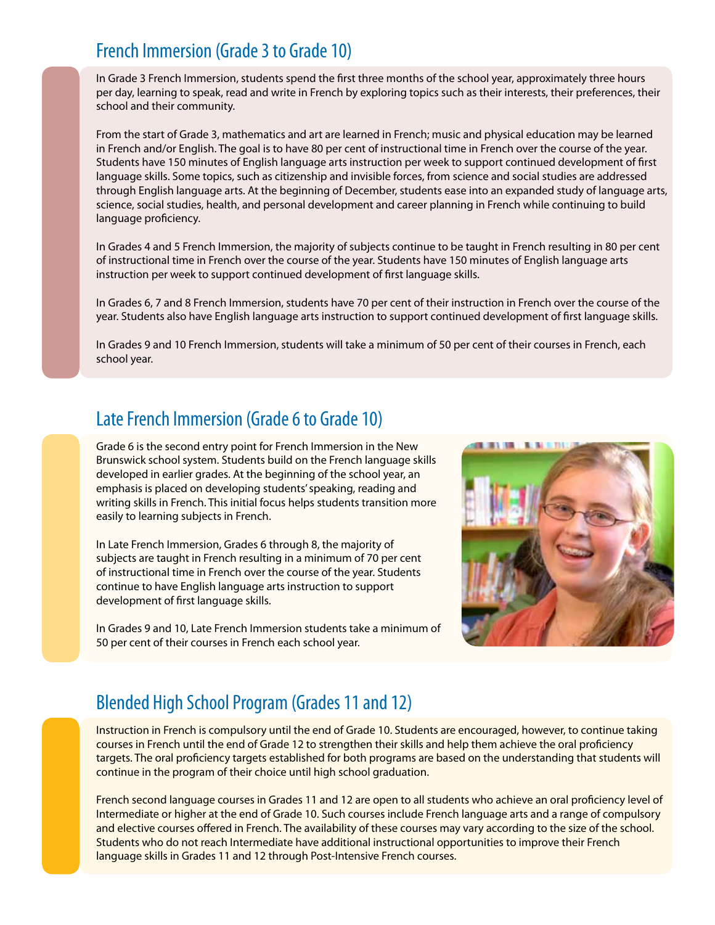### French Immersion (Grade 3 to Grade 10)

In Grade 3 French Immersion, students spend the first three months of the school year, approximately three hours per day, learning to speak, read and write in French by exploring topics such as their interests, their preferences, their school and their community.

From the start of Grade 3, mathematics and art are learned in French; music and physical education may be learned in French and/or English. The goal is to have 80 per cent of instructional time in French over the course of the year. Students have 150 minutes of English language arts instruction per week to support continued development of first language skills. Some topics, such as citizenship and invisible forces, from science and social studies are addressed through English language arts. At the beginning of December, students ease into an expanded study of language arts, science, social studies, health, and personal development and career planning in French while continuing to build language proficiency.

In Grades 4 and 5 French Immersion, the majority of subjects continue to be taught in French resulting in 80 per cent of instructional time in French over the course of the year. Students have 150 minutes of English language arts instruction per week to support continued development of first language skills.

In Grades 6, 7 and 8 French Immersion, students have 70 per cent of their instruction in French over the course of the year. Students also have English language arts instruction to support continued development of first language skills.

In Grades 9 and 10 French Immersion, students will take a minimum of 50 per cent of their courses in French, each school year.

### Late French Immersion (Grade 6 to Grade 10)

Grade 6 is the second entry point for French Immersion in the New Brunswick school system. Students build on the French language skills developed in earlier grades. At the beginning of the school year, an emphasis is placed on developing students' speaking, reading and writing skills in French. This initial focus helps students transition more easily to learning subjects in French.

In Late French Immersion, Grades 6 through 8, the majority of subjects are taught in French resulting in a minimum of 70 per cent of instructional time in French over the course of the year. Students continue to have English language arts instruction to support development of first language skills.

In Grades 9 and 10, Late French Immersion students take a minimum of 50 per cent of their courses in French each school year.



## Blended High School Program (Grades 11 and 12)

Instruction in French is compulsory until the end of Grade 10. Students are encouraged, however, to continue taking courses in French until the end of Grade 12 to strengthen their skills and help them achieve the oral proficiency targets. The oral proficiency targets established for both programs are based on the understanding that students will continue in the program of their choice until high school graduation.

French second language courses in Grades 11 and 12 are open to all students who achieve an oral proficiency level of Intermediate or higher at the end of Grade 10. Such courses include French language arts and a range of compulsory and elective courses offered in French. The availability of these courses may vary according to the size of the school. Students who do not reach Intermediate have additional instructional opportunities to improve their French language skills in Grades 11 and 12 through Post-Intensive French courses.